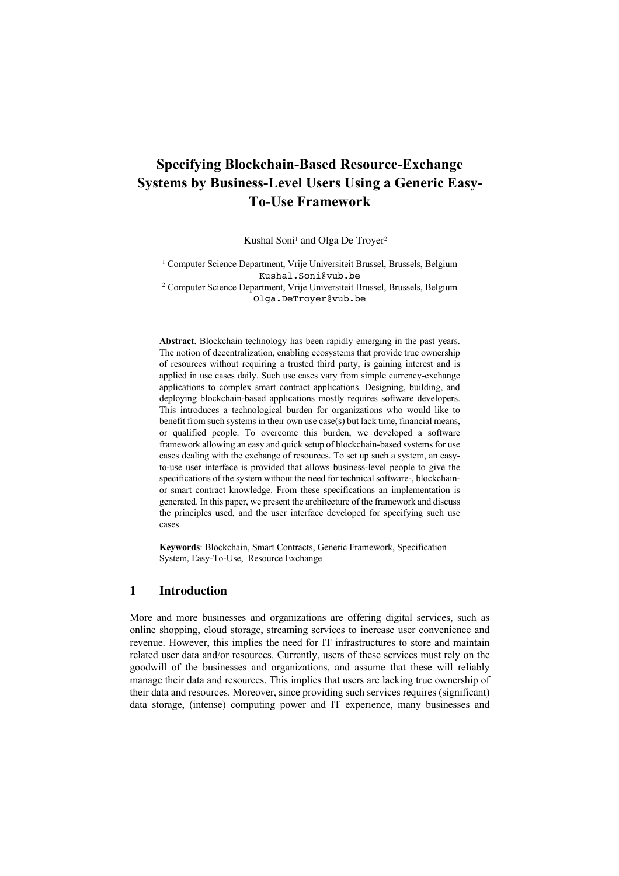# **Specifying Blockchain-Based Resource-Exchange Systems by Business-Level Users Using a Generic Easy-To-Use Framework**

Kushal Soni<sup>1</sup> and Olga De Troyer<sup>2</sup>

<sup>1</sup> Computer Science Department, Vrije Universiteit Brussel, Brussels, Belgium Kushal.Soni@vub.be

<sup>2</sup> Computer Science Department, Vrije Universiteit Brussel, Brussels, Belgium Olga.DeTroyer@vub.be

**Abstract**. Blockchain technology has been rapidly emerging in the past years. The notion of decentralization, enabling ecosystems that provide true ownership of resources without requiring a trusted third party, is gaining interest and is applied in use cases daily. Such use cases vary from simple currency-exchange applications to complex smart contract applications. Designing, building, and deploying blockchain-based applications mostly requires software developers. This introduces a technological burden for organizations who would like to benefit from such systems in their own use case(s) but lack time, financial means, or qualified people. To overcome this burden, we developed a software framework allowing an easy and quick setup of blockchain-based systems for use cases dealing with the exchange of resources. To set up such a system, an easyto-use user interface is provided that allows business-level people to give the specifications of the system without the need for technical software-, blockchainor smart contract knowledge. From these specifications an implementation is generated. In this paper, we present the architecture of the framework and discuss the principles used, and the user interface developed for specifying such use cases.

**Keywords**: Blockchain, Smart Contracts, Generic Framework, Specification System, Easy-To-Use, Resource Exchange

## **1 Introduction**

More and more businesses and organizations are offering digital services, such as online shopping, cloud storage, streaming services to increase user convenience and revenue. However, this implies the need for IT infrastructures to store and maintain related user data and/or resources. Currently, users of these services must rely on the goodwill of the businesses and organizations, and assume that these will reliably manage their data and resources. This implies that users are lacking true ownership of their data and resources. Moreover, since providing such services requires (significant) data storage, (intense) computing power and IT experience, many businesses and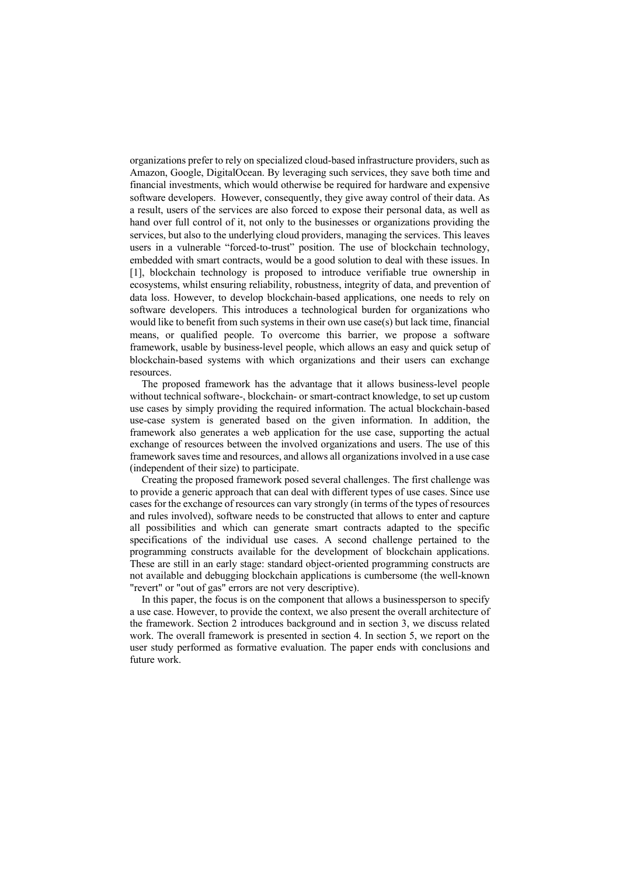organizations prefer to rely on specialized cloud-based infrastructure providers, such as Amazon, Google, DigitalOcean. By leveraging such services, they save both time and financial investments, which would otherwise be required for hardware and expensive software developers. However, consequently, they give away control of their data. As a result, users of the services are also forced to expose their personal data, as well as hand over full control of it, not only to the businesses or organizations providing the services, but also to the underlying cloud providers, managing the services. This leaves users in a vulnerable "forced-to-trust" position. The use of blockchain technology, embedded with smart contracts, would be a good solution to deal with these issues. In [1], blockchain technology is proposed to introduce verifiable true ownership in ecosystems, whilst ensuring reliability, robustness, integrity of data, and prevention of data loss. However, to develop blockchain-based applications, one needs to rely on software developers. This introduces a technological burden for organizations who would like to benefit from such systems in their own use case(s) but lack time, financial means, or qualified people. To overcome this barrier, we propose a software framework, usable by business-level people, which allows an easy and quick setup of blockchain-based systems with which organizations and their users can exchange resources.

The proposed framework has the advantage that it allows business-level people without technical software-, blockchain- or smart-contract knowledge, to set up custom use cases by simply providing the required information. The actual blockchain-based use-case system is generated based on the given information. In addition, the framework also generates a web application for the use case, supporting the actual exchange of resources between the involved organizations and users. The use of this framework saves time and resources, and allows all organizations involved in a use case (independent of their size) to participate.

Creating the proposed framework posed several challenges. The first challenge was to provide a generic approach that can deal with different types of use cases. Since use cases for the exchange of resources can vary strongly (in terms of the types of resources and rules involved), software needs to be constructed that allows to enter and capture all possibilities and which can generate smart contracts adapted to the specific specifications of the individual use cases. A second challenge pertained to the programming constructs available for the development of blockchain applications. These are still in an early stage: standard object-oriented programming constructs are not available and debugging blockchain applications is cumbersome (the well-known "revert" or "out of gas" errors are not very descriptive).

In this paper, the focus is on the component that allows a businessperson to specify a use case. However, to provide the context, we also present the overall architecture of the framework. Section 2 introduces background and in section 3, we discuss related work. The overall framework is presented in section 4. In section 5, we report on the user study performed as formative evaluation. The paper ends with conclusions and future work.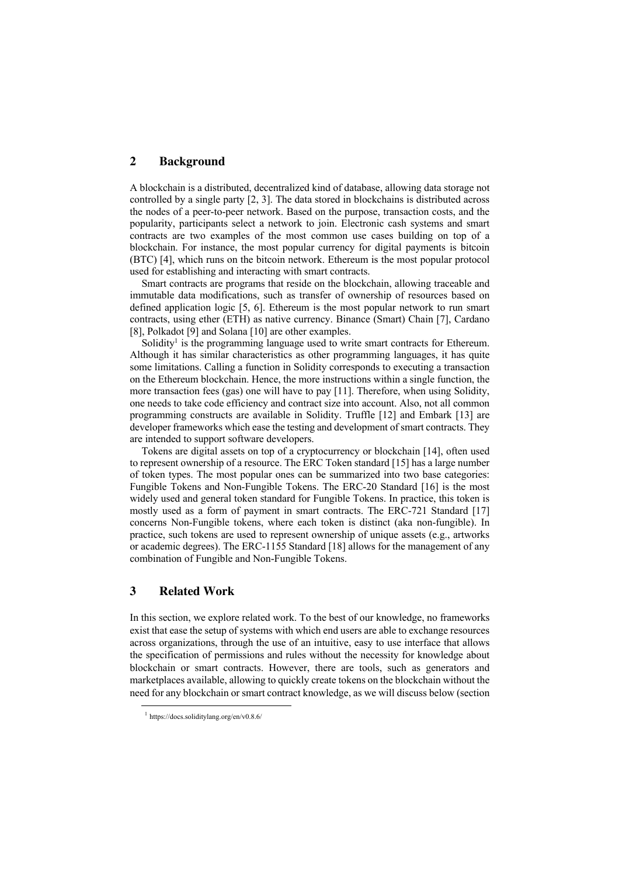## **2 Background**

A blockchain is a distributed, decentralized kind of database, allowing data storage not controlled by a single party [2, 3]. The data stored in blockchains is distributed across the nodes of a peer-to-peer network. Based on the purpose, transaction costs, and the popularity, participants select a network to join. Electronic cash systems and smart contracts are two examples of the most common use cases building on top of a blockchain. For instance, the most popular currency for digital payments is bitcoin (BTC) [4], which runs on the bitcoin network. Ethereum is the most popular protocol used for establishing and interacting with smart contracts.

Smart contracts are programs that reside on the blockchain, allowing traceable and immutable data modifications, such as transfer of ownership of resources based on defined application logic [5, 6]. Ethereum is the most popular network to run smart contracts, using ether (ETH) as native currency. Binance (Smart) Chain [7], Cardano [8], Polkadot [9] and Solana [10] are other examples.

Solidity<sup>1</sup> is the programming language used to write smart contracts for Ethereum. Although it has similar characteristics as other programming languages, it has quite some limitations. Calling a function in Solidity corresponds to executing a transaction on the Ethereum blockchain. Hence, the more instructions within a single function, the more transaction fees (gas) one will have to pay [11]. Therefore, when using Solidity, one needs to take code efficiency and contract size into account. Also, not all common programming constructs are available in Solidity. Truffle [12] and Embark [13] are developer frameworks which ease the testing and development of smart contracts. They are intended to support software developers.

Tokens are digital assets on top of a cryptocurrency or blockchain [14], often used to represent ownership of a resource. The ERC Token standard [15] has a large number of token types. The most popular ones can be summarized into two base categories: Fungible Tokens and Non-Fungible Tokens. The ERC-20 Standard [16] is the most widely used and general token standard for Fungible Tokens. In practice, this token is mostly used as a form of payment in smart contracts. The ERC-721 Standard [17] concerns Non-Fungible tokens, where each token is distinct (aka non-fungible). In practice, such tokens are used to represent ownership of unique assets (e.g., artworks or academic degrees). The ERC-1155 Standard [18] allows for the management of any combination of Fungible and Non-Fungible Tokens.

## **3 Related Work**

In this section, we explore related work. To the best of our knowledge, no frameworks exist that ease the setup of systems with which end users are able to exchange resources across organizations, through the use of an intuitive, easy to use interface that allows the specification of permissions and rules without the necessity for knowledge about blockchain or smart contracts. However, there are tools, such as generators and marketplaces available, allowing to quickly create tokens on the blockchain without the need for any blockchain or smart contract knowledge, as we will discuss below (section

<sup>1</sup> https://docs.soliditylang.org/en/v0.8.6/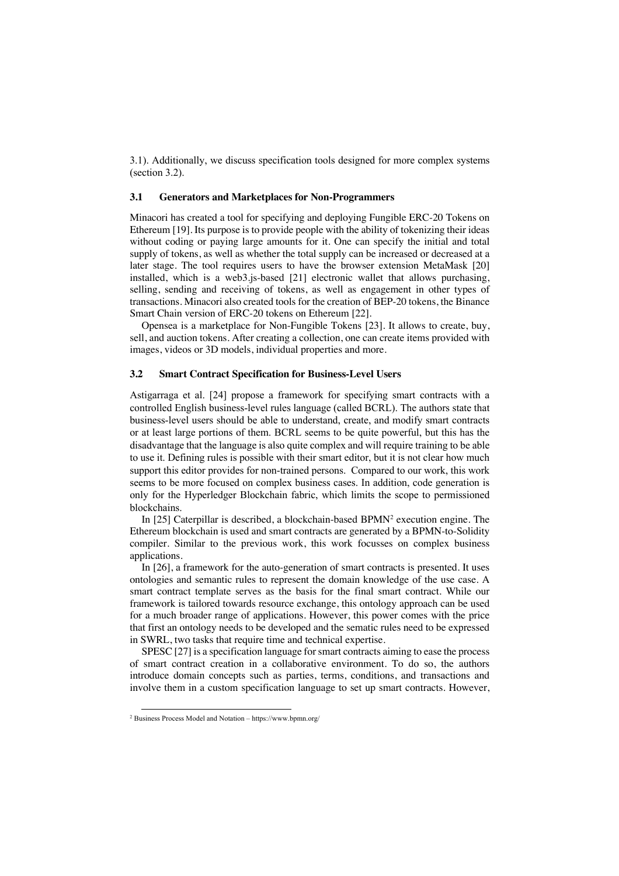3.1). Additionally, we discuss specification tools designed for more complex systems (section 3.2).

### **3.1 Generators and Marketplaces for Non-Programmers**

Minacori has created a tool for specifying and deploying Fungible ERC-20 Tokens on Ethereum [19]. Its purpose is to provide people with the ability of tokenizing their ideas without coding or paying large amounts for it. One can specify the initial and total supply of tokens, as well as whether the total supply can be increased or decreased at a later stage. The tool requires users to have the browser extension MetaMask [20] installed, which is a web3.js-based [21] electronic wallet that allows purchasing, selling, sending and receiving of tokens, as well as engagement in other types of transactions. Minacori also created tools for the creation of BEP-20 tokens, the Binance Smart Chain version of ERC-20 tokens on Ethereum [22].

Opensea is a marketplace for Non-Fungible Tokens [23]. It allows to create, buy, sell, and auction tokens. After creating a collection, one can create items provided with images, videos or 3D models, individual properties and more.

### **3.2 Smart Contract Specification for Business-Level Users**

Astigarraga et al. [24] propose a framework for specifying smart contracts with a controlled English business-level rules language (called BCRL). The authors state that business-level users should be able to understand, create, and modify smart contracts or at least large portions of them. BCRL seems to be quite powerful, but this has the disadvantage that the language is also quite complex and will require training to be able to use it. Defining rules is possible with their smart editor, but it is not clear how much support this editor provides for non-trained persons. Compared to our work, this work seems to be more focused on complex business cases. In addition, code generation is only for the Hyperledger Blockchain fabric, which limits the scope to permissioned blockchains.

In [25] Caterpillar is described, a blockchain-based  $BPMN<sup>2</sup>$  execution engine. The Ethereum blockchain is used and smart contracts are generated by a BPMN-to-Solidity compiler. Similar to the previous work, this work focusses on complex business applications.

In [26], a framework for the auto-generation of smart contracts is presented. It uses ontologies and semantic rules to represent the domain knowledge of the use case. A smart contract template serves as the basis for the final smart contract. While our framework is tailored towards resource exchange, this ontology approach can be used for a much broader range of applications. However, this power comes with the price that first an ontology needs to be developed and the sematic rules need to be expressed in SWRL, two tasks that require time and technical expertise.

SPESC [27] is a specification language for smart contracts aiming to ease the process of smart contract creation in a collaborative environment. To do so, the authors introduce domain concepts such as parties, terms, conditions, and transactions and involve them in a custom specification language to set up smart contracts. However,

<sup>2</sup> Business Process Model and Notation – https://www.bpmn.org/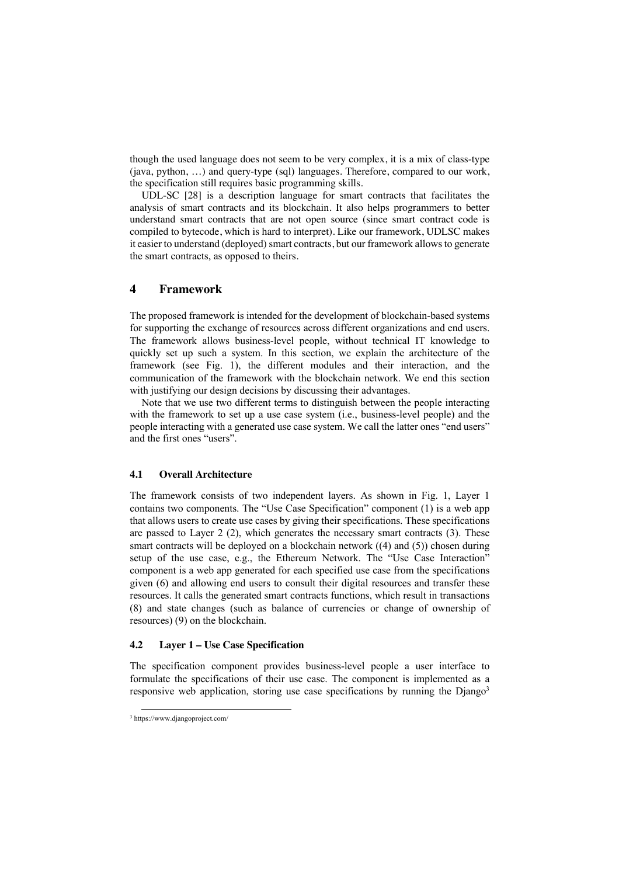though the used language does not seem to be very complex, it is a mix of class-type (java, python, …) and query-type (sql) languages. Therefore, compared to our work, the specification still requires basic programming skills.

UDL-SC [28] is a description language for smart contracts that facilitates the analysis of smart contracts and its blockchain. It also helps programmers to better understand smart contracts that are not open source (since smart contract code is compiled to bytecode, which is hard to interpret). Like our framework, UDLSC makes it easier to understand (deployed) smart contracts, but our framework allows to generate the smart contracts, as opposed to theirs.

## **4 Framework**

The proposed framework is intended for the development of blockchain-based systems for supporting the exchange of resources across different organizations and end users. The framework allows business-level people, without technical IT knowledge to quickly set up such a system. In this section, we explain the architecture of the framework (see Fig. 1), the different modules and their interaction, and the communication of the framework with the blockchain network. We end this section with justifying our design decisions by discussing their advantages.

Note that we use two different terms to distinguish between the people interacting with the framework to set up a use case system (i.e., business-level people) and the people interacting with a generated use case system. We call the latter ones "end users" and the first ones "users".

### **4.1 Overall Architecture**

The framework consists of two independent layers. As shown in Fig. 1, Layer 1 contains two components. The "Use Case Specification" component (1) is a web app that allows users to create use cases by giving their specifications. These specifications are passed to Layer 2 (2), which generates the necessary smart contracts (3). These smart contracts will be deployed on a blockchain network ((4) and (5)) chosen during setup of the use case, e.g., the Ethereum Network. The "Use Case Interaction" component is a web app generated for each specified use case from the specifications given (6) and allowing end users to consult their digital resources and transfer these resources. It calls the generated smart contracts functions, which result in transactions (8) and state changes (such as balance of currencies or change of ownership of resources) (9) on the blockchain.

## **4.2 Layer 1 – Use Case Specification**

The specification component provides business-level people a user interface to formulate the specifications of their use case. The component is implemented as a responsive web application, storing use case specifications by running the  $D$ jango<sup>3</sup>

<sup>3</sup> https://www.djangoproject.com/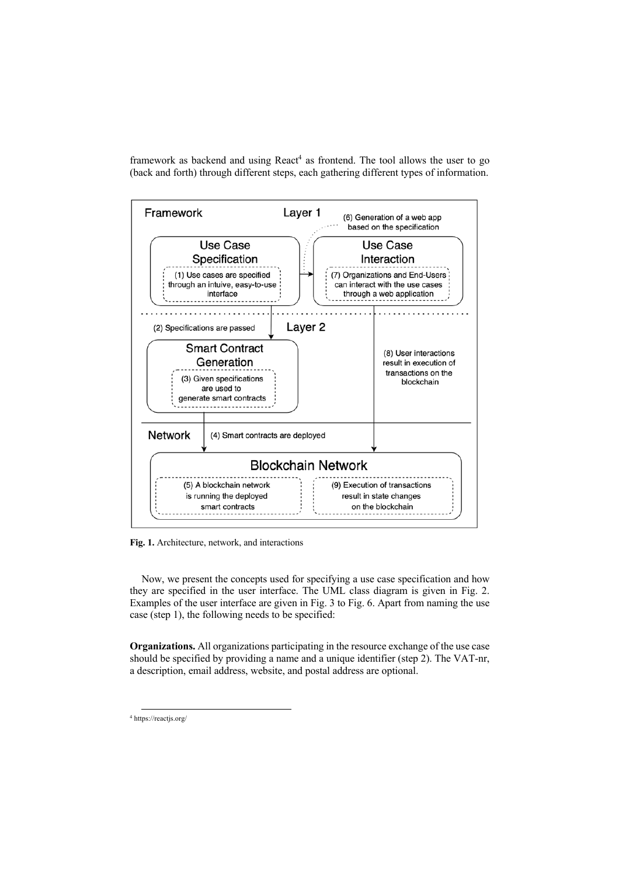framework as backend and using  $React<sup>4</sup>$  as frontend. The tool allows the user to go (back and forth) through different steps, each gathering different types of information.



**Fig. 1.** Architecture, network, and interactions

Now, we present the concepts used for specifying a use case specification and how they are specified in the user interface. The UML class diagram is given in Fig. 2. Examples of the user interface are given in Fig. 3 to Fig. 6. Apart from naming the use case (step 1), the following needs to be specified:

**Organizations.** All organizations participating in the resource exchange of the use case should be specified by providing a name and a unique identifier (step 2). The VAT-nr, a description, email address, website, and postal address are optional.

<sup>4</sup> https://reactjs.org/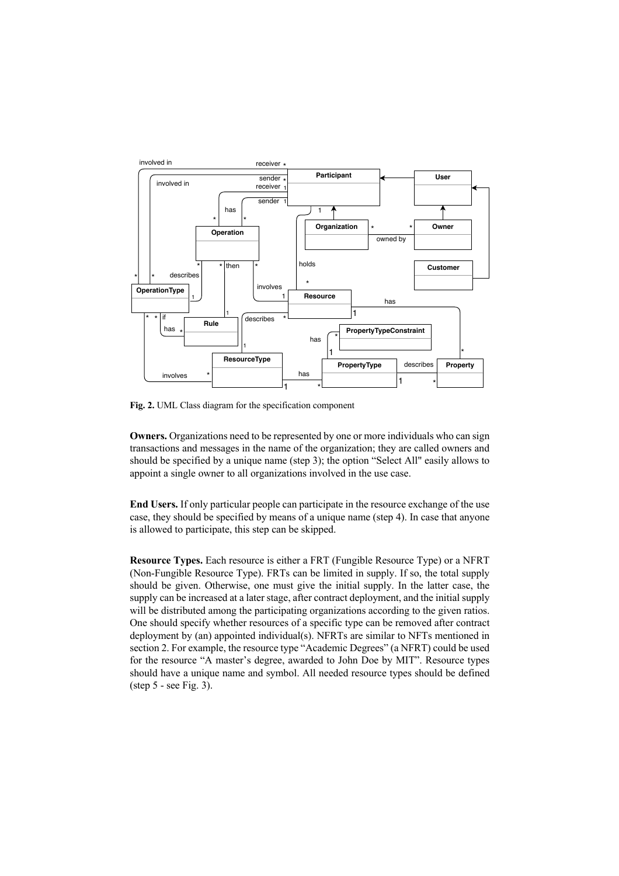

**Fig. 2.** UML Class diagram for the specification component

**Owners.** Organizations need to be represented by one or more individuals who can sign transactions and messages in the name of the organization; they are called owners and should be specified by a unique name (step 3); the option "Select All" easily allows to appoint a single owner to all organizations involved in the use case.

**End Users.** If only particular people can participate in the resource exchange of the use case, they should be specified by means of a unique name (step 4). In case that anyone is allowed to participate, this step can be skipped.

**Resource Types.** Each resource is either a FRT (Fungible Resource Type) or a NFRT (Non-Fungible Resource Type). FRTs can be limited in supply. If so, the total supply should be given. Otherwise, one must give the initial supply. In the latter case, the supply can be increased at a later stage, after contract deployment, and the initial supply will be distributed among the participating organizations according to the given ratios. One should specify whether resources of a specific type can be removed after contract deployment by (an) appointed individual(s). NFRTs are similar to NFTs mentioned in section 2. For example, the resource type "Academic Degrees" (a NFRT) could be used for the resource "A master's degree, awarded to John Doe by MIT". Resource types should have a unique name and symbol. All needed resource types should be defined (step 5 - see Fig. 3).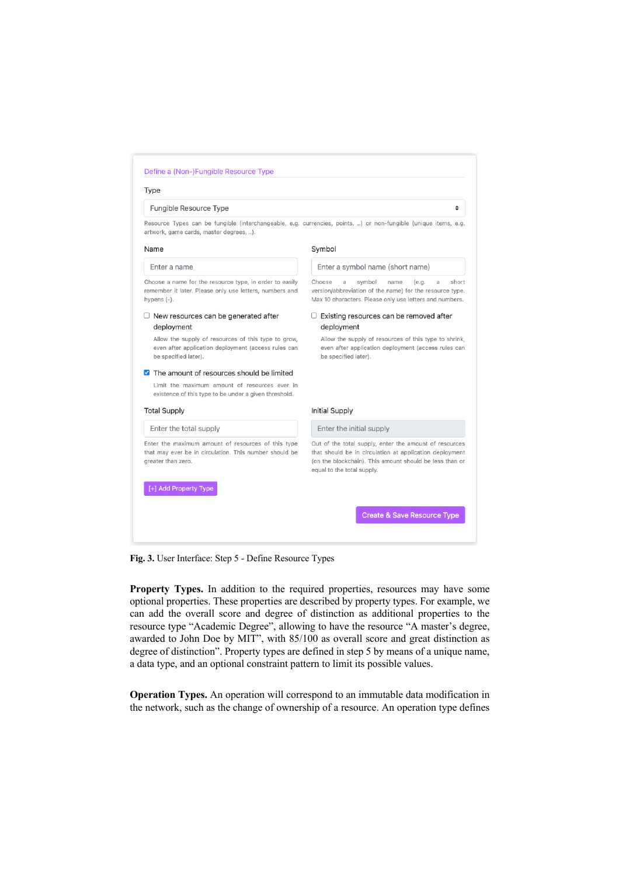#### Define a (Non-)Fungible Resource Type

#### Type

#### Fungible Resource Type

Resource Types can be fungible (interchangeable, e.g. currencies, points, ..) or non-fungible (unique items, e.g. artwork, game cards, master degrees...).

#### Name

Enter a name

## Symbol

Enter a symbol name (short name) Choose a symbol name (e.g.

version/abbreviation of the name) for the resource type.

Max 10 characters. Please only use letters and numbers.

Allow the supply of resources of this type to shrink,

even after application deployment (access rules can

 $\Box$  Existing resources can be removed after

 $\triangleq$ 

a short

Choose a name for the resource type, in order to easily remember it later. Please only use letters, numbers and hypens (-).

#### $\Box$  New resources can be generated after deployment

Allow the supply of resources of this type to grow, even after application deployment (access rules can be specified later).

#### The amount of resources should be limited

Limit the maximum amount of resources ever in existence of this type to be under a given threshold.

#### **Total Supply**

Enter the total supply

[+] Add Property Type

Enter the maximum amount of resources of this type that may ever be in circulation. This number should be greater than zero

## Initial Supply

deployment

be specified later).

#### Enter the initial supply

Out of the total supply, enter the amount of resources that should be in circulation at application deployment (on the blockchain). This amount should be less than or equal to the total supply.

Create & Save Resource Type

**Fig. 3.** User Interface: Step 5 - Define Resource Types

**Property Types.** In addition to the required properties, resources may have some optional properties. These properties are described by property types. For example, we can add the overall score and degree of distinction as additional properties to the resource type "Academic Degree", allowing to have the resource "A master's degree, awarded to John Doe by MIT", with 85/100 as overall score and great distinction as degree of distinction". Property types are defined in step 5 by means of a unique name, a data type, and an optional constraint pattern to limit its possible values.

**Operation Types.** An operation will correspond to an immutable data modification in the network, such as the change of ownership of a resource. An operation type defines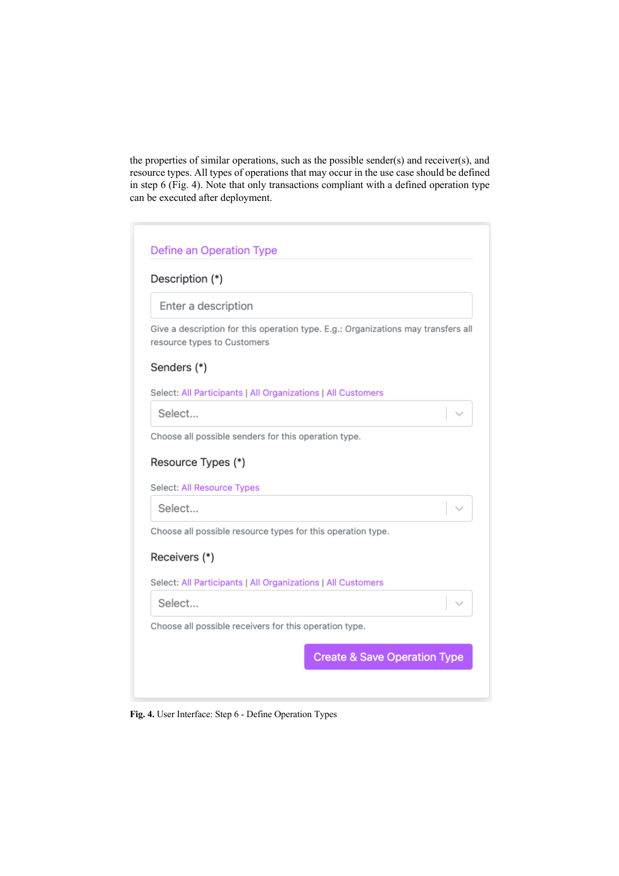the properties of similar operations, such as the possible sender(s) and receiver(s), and resource types. All types of operations that may occur in the use case should be defined in step 6 (Fig. 4). Note that only transactions compliant with a defined operation type can be executed after deployment.

| Description (*)                                              |                                                                                   |
|--------------------------------------------------------------|-----------------------------------------------------------------------------------|
| Enter a description                                          |                                                                                   |
| resource types to Customers                                  | Give a description for this operation type. E.g.: Organizations may transfers all |
| Senders (*)                                                  |                                                                                   |
| Select: All Participants   All Organizations   All Customers |                                                                                   |
|                                                              |                                                                                   |
| Select                                                       |                                                                                   |
| Choose all possible senders for this operation type.         |                                                                                   |
|                                                              |                                                                                   |
| Resource Types (*)                                           |                                                                                   |
| Select: All Resource Types                                   |                                                                                   |
| Select                                                       |                                                                                   |
| Choose all possible resource types for this operation type.  |                                                                                   |
|                                                              |                                                                                   |
| Receivers (*)                                                |                                                                                   |
| Select: All Participants   All Organizations   All Customers |                                                                                   |
| Select                                                       |                                                                                   |
| Choose all possible receivers for this operation type.       |                                                                                   |

**Fig. 4.** User Interface: Step 6 - Define Operation Types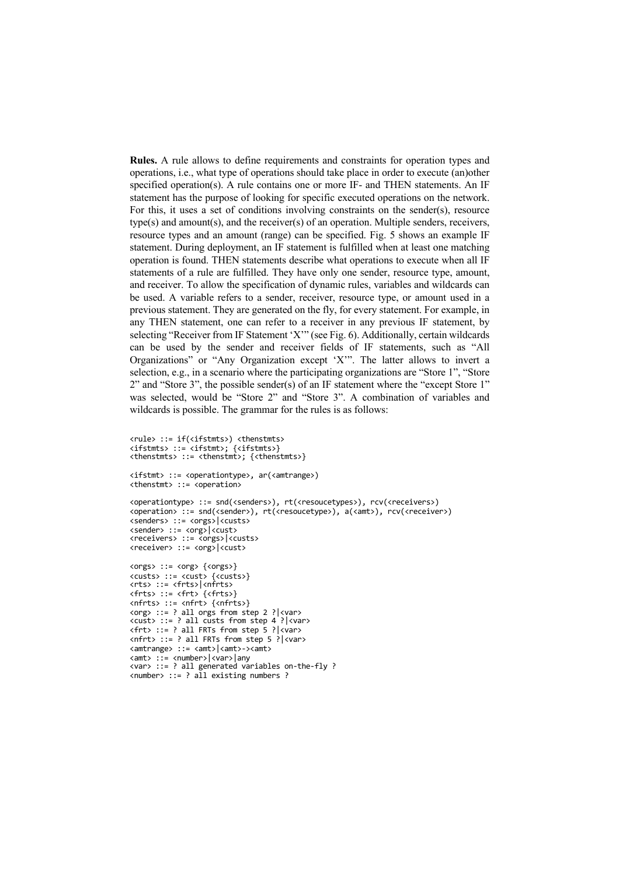**Rules.** A rule allows to define requirements and constraints for operation types and operations, i.e., what type of operations should take place in order to execute (an)other specified operation(s). A rule contains one or more IF- and THEN statements. An IF statement has the purpose of looking for specific executed operations on the network. For this, it uses a set of conditions involving constraints on the sender(s), resource type(s) and amount(s), and the receiver(s) of an operation. Multiple senders, receivers, resource types and an amount (range) can be specified. Fig. 5 shows an example IF statement. During deployment, an IF statement is fulfilled when at least one matching operation is found. THEN statements describe what operations to execute when all IF statements of a rule are fulfilled. They have only one sender, resource type, amount, and receiver. To allow the specification of dynamic rules, variables and wildcards can be used. A variable refers to a sender, receiver, resource type, or amount used in a previous statement. They are generated on the fly, for every statement. For example, in any THEN statement, one can refer to a receiver in any previous IF statement, by selecting "Receiver from IF Statement 'X'" (see Fig. 6). Additionally, certain wildcards can be used by the sender and receiver fields of IF statements, such as "All Organizations" or "Any Organization except 'X'". The latter allows to invert a selection, e.g., in a scenario where the participating organizations are "Store 1", "Store 2" and "Store 3", the possible sender(s) of an IF statement where the "except Store 1" was selected, would be "Store 2" and "Store 3". A combination of variables and wildcards is possible. The grammar for the rules is as follows:

```
<rule> ::= if(<ifstmts>) <thenstmts> 
<ifstmts> ::= <ifstmt>; {<ifstmts>}
<thenstmts> ::= <thenstmt>; {<thenstmts>}
<ifstmt> ::= <operationtype>, ar(<amtrange>)
<thenstmt> ::= <operation>
<operationtype> ::= snd(<senders>), rt(<resoucetypes>), rcv(<receivers>)
<operation> ::= snd(<sender>), rt(<resoucetype>), a(<amt>), rcv(<receiver>)
<senders> ::= <orgs>|<custs>
<sender> ::= <org>|<cust>
<receivers> ::= <orgs>|<custs>
<receiver> ::= <org>|<cust>
<orgs> ::= <org> {<orgs>}
<custs> ::= <cust> {<custs>}
<rts> ::= <frts>|<nfrts>
<frts> ::= <frt> {<frts>}
<nfrts> ::= <nfrt> {<nfrts>}
<org> ::= ? all orgs from step 2 ?|<var>
<cust> ::= ? all custs from step 4 ?|<var>
<frt> ::= ? all FRTs from step 5 ?|<var>
<nfrt> ::= ? all FRTs from step 5 ?|<var>
<amtrange> ::= <amt>|<amt>-><amt>
<amt> ::= <number>|<var>|any
<var> ::= ? all generated variables on-the-fly ?
<number> ::= ? all existing numbers ?
```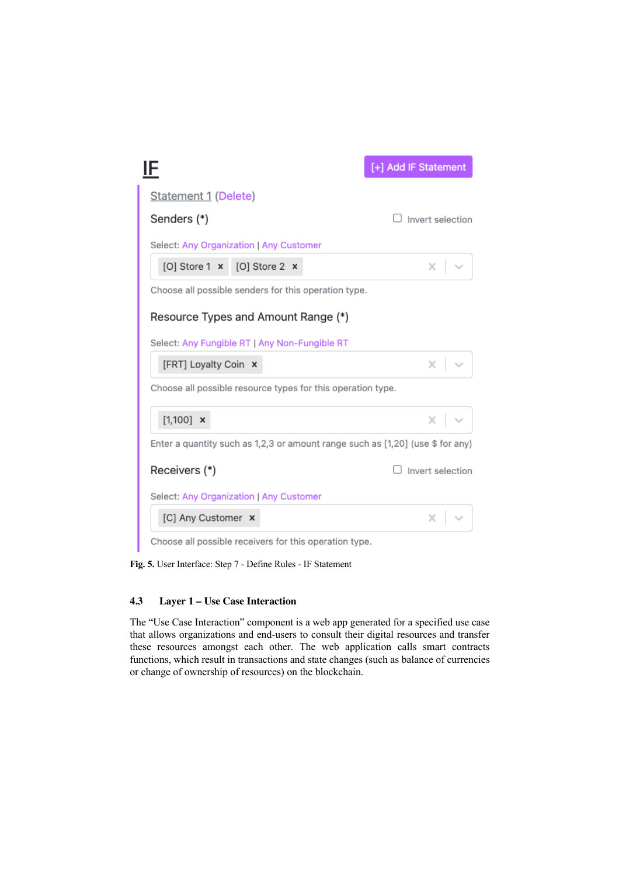|                      |                                                             | [+] Add IF Statement                                                           |
|----------------------|-------------------------------------------------------------|--------------------------------------------------------------------------------|
| Statement 1 (Delete) |                                                             |                                                                                |
| Senders (*)          |                                                             | Invert selection                                                               |
|                      | Select: Any Organization   Any Customer                     |                                                                                |
|                      | [O] Store 1 x [O] Store 2 x                                 | ×                                                                              |
|                      | Choose all possible senders for this operation type.        |                                                                                |
|                      | Resource Types and Amount Range (*)                         |                                                                                |
|                      | Select: Any Fungible RT   Any Non-Fungible RT               |                                                                                |
| [FRT] Loyalty Coin x |                                                             | $\times$ $\sim$                                                                |
|                      | Choose all possible resource types for this operation type. |                                                                                |
| $[1,100]$ ×          |                                                             | $\times$ $\overline{\phantom{0}}$                                              |
|                      |                                                             | Enter a quantity such as 1,2,3 or amount range such as [1,20] (use \$ for any) |
| Receivers (*)        |                                                             | Invert selection                                                               |
|                      | Select: Any Organization   Any Customer                     |                                                                                |
| [C] Any Customer x   |                                                             | ×                                                                              |
|                      | Choose all possible receivers for this operation type.      |                                                                                |

**Fig. 5.** User Interface: Step 7 - Define Rules - IF Statement

## **4.3 Layer 1 – Use Case Interaction**

The "Use Case Interaction" component is a web app generated for a specified use case that allows organizations and end-users to consult their digital resources and transfer these resources amongst each other. The web application calls smart contracts functions, which result in transactions and state changes (such as balance of currencies or change of ownership of resources) on the blockchain.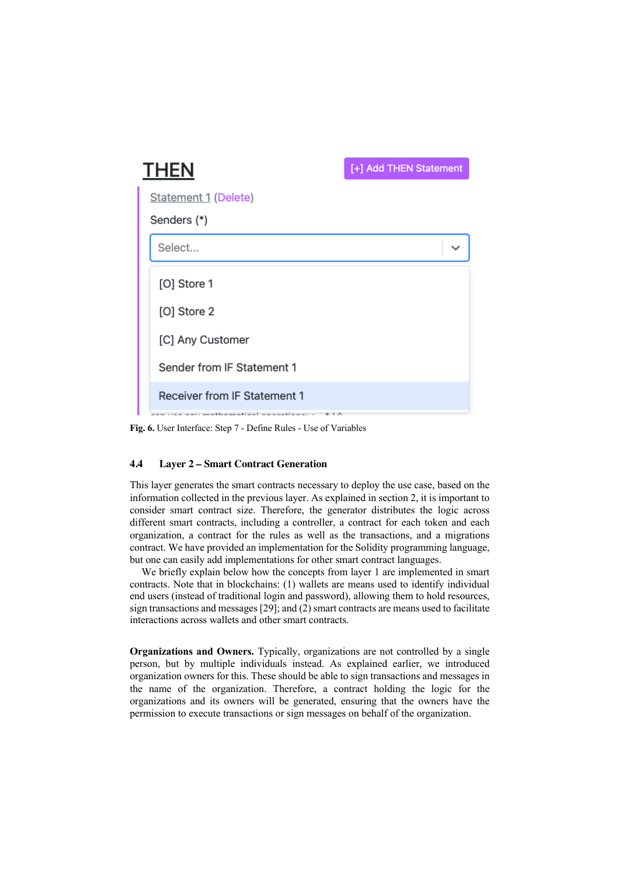| <b>THEN</b>                                                                   | [+] Add THEN Statement |
|-------------------------------------------------------------------------------|------------------------|
| <b>Statement 1 (Delete)</b>                                                   |                        |
| Senders (*)                                                                   |                        |
| Select                                                                        |                        |
| [O] Store 1                                                                   |                        |
| [O] Store 2                                                                   |                        |
| [C] Any Customer                                                              |                        |
| Sender from IF Statement 1                                                    |                        |
| Receiver from IF Statement 1<br>معروفهم محافيه اممناه معمولهم يبعد<br>------- |                        |

**Fig. 6.** User Interface: Step 7 - Define Rules - Use of Variables

## **4.4 Layer 2 – Smart Contract Generation**

This layer generates the smart contracts necessary to deploy the use case, based on the information collected in the previous layer. As explained in section 2, it is important to consider smart contract size. Therefore, the generator distributes the logic across different smart contracts, including a controller, a contract for each token and each organization, a contract for the rules as well as the transactions, and a migrations contract. We have provided an implementation for the Solidity programming language, but one can easily add implementations for other smart contract languages.

We briefly explain below how the concepts from layer 1 are implemented in smart contracts. Note that in blockchains: (1) wallets are means used to identify individual end users (instead of traditional login and password), allowing them to hold resources, sign transactions and messages [29]; and (2) smart contracts are means used to facilitate interactions across wallets and other smart contracts.

**Organizations and Owners.** Typically, organizations are not controlled by a single person, but by multiple individuals instead. As explained earlier, we introduced organization owners for this. These should be able to sign transactions and messages in the name of the organization. Therefore, a contract holding the logic for the organizations and its owners will be generated, ensuring that the owners have the permission to execute transactions or sign messages on behalf of the organization.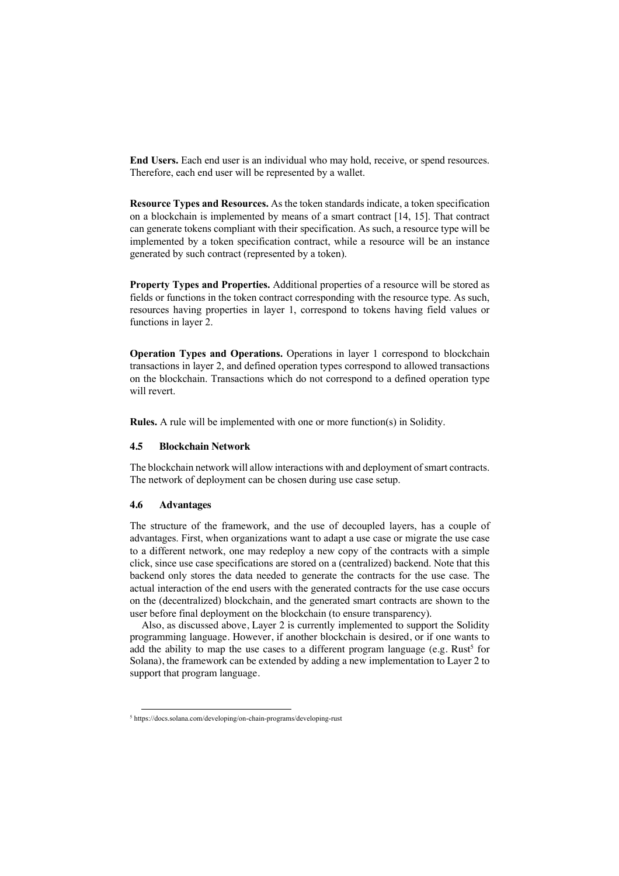**End Users.** Each end user is an individual who may hold, receive, or spend resources. Therefore, each end user will be represented by a wallet.

**Resource Types and Resources.** As the token standards indicate, a token specification on a blockchain is implemented by means of a smart contract [14, 15]. That contract can generate tokens compliant with their specification. As such, a resource type will be implemented by a token specification contract, while a resource will be an instance generated by such contract (represented by a token).

**Property Types and Properties.** Additional properties of a resource will be stored as fields or functions in the token contract corresponding with the resource type. As such, resources having properties in layer 1, correspond to tokens having field values or functions in layer 2.

**Operation Types and Operations.** Operations in layer 1 correspond to blockchain transactions in layer 2, and defined operation types correspond to allowed transactions on the blockchain. Transactions which do not correspond to a defined operation type will revert.

**Rules.** A rule will be implemented with one or more function(s) in Solidity.

### **4.5 Blockchain Network**

The blockchain network will allow interactions with and deployment of smart contracts. The network of deployment can be chosen during use case setup.

### **4.6 Advantages**

The structure of the framework, and the use of decoupled layers, has a couple of advantages. First, when organizations want to adapt a use case or migrate the use case to a different network, one may redeploy a new copy of the contracts with a simple click, since use case specifications are stored on a (centralized) backend. Note that this backend only stores the data needed to generate the contracts for the use case. The actual interaction of the end users with the generated contracts for the use case occurs on the (decentralized) blockchain, and the generated smart contracts are shown to the user before final deployment on the blockchain (to ensure transparency).

Also, as discussed above, Layer 2 is currently implemented to support the Solidity programming language. However, if another blockchain is desired, or if one wants to add the ability to map the use cases to a different program language (e.g. Rust<sup>5</sup> for Solana), the framework can be extended by adding a new implementation to Layer 2 to support that program language.

<sup>5</sup> https://docs.solana.com/developing/on-chain-programs/developing-rust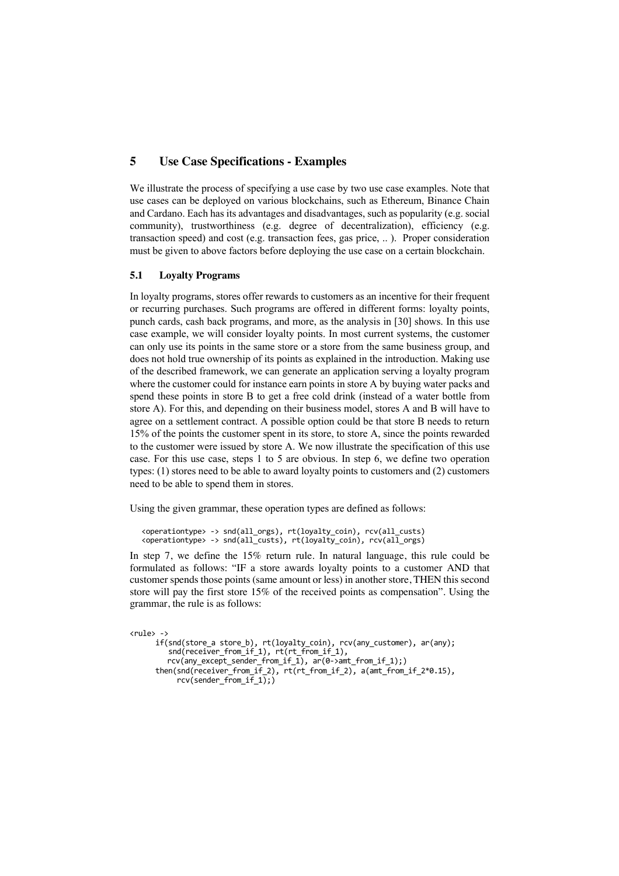## **5 Use Case Specifications - Examples**

We illustrate the process of specifying a use case by two use case examples. Note that use cases can be deployed on various blockchains, such as Ethereum, Binance Chain and Cardano. Each has its advantages and disadvantages, such as popularity (e.g. social community), trustworthiness (e.g. degree of decentralization), efficiency (e.g. transaction speed) and cost (e.g. transaction fees, gas price, .. ). Proper consideration must be given to above factors before deploying the use case on a certain blockchain.

### **5.1 Loyalty Programs**

In loyalty programs, stores offer rewards to customers as an incentive for their frequent or recurring purchases. Such programs are offered in different forms: loyalty points, punch cards, cash back programs, and more, as the analysis in [30] shows. In this use case example, we will consider loyalty points. In most current systems, the customer can only use its points in the same store or a store from the same business group, and does not hold true ownership of its points as explained in the introduction. Making use of the described framework, we can generate an application serving a loyalty program where the customer could for instance earn points in store A by buying water packs and spend these points in store B to get a free cold drink (instead of a water bottle from store A). For this, and depending on their business model, stores A and B will have to agree on a settlement contract. A possible option could be that store B needs to return 15% of the points the customer spent in its store, to store A, since the points rewarded to the customer were issued by store A. We now illustrate the specification of this use case. For this use case, steps 1 to 5 are obvious. In step 6, we define two operation types: (1) stores need to be able to award loyalty points to customers and (2) customers need to be able to spend them in stores.

Using the given grammar, these operation types are defined as follows:

```
<operationtype> -> snd(all_orgs), rt(loyalty_coin), rcv(all_custs)
<operationtype> -> snd(all_custs), rt(loyalty_coin), rcv(all_orgs)
```
In step 7, we define the 15% return rule. In natural language, this rule could be formulated as follows: "IF a store awards loyalty points to a customer AND that customer spends those points (same amount or less) in another store, THEN this second store will pay the first store 15% of the received points as compensation". Using the grammar, the rule is as follows:

```
<rule> -> 
 if(snd(store_a store_b), rt(loyalty_coin), rcv(any_customer), ar(any); snd(receiver_from_if_1), rt(rt_from_if_1),
          rcv(any_except_sender_from_if_1), ar(0->amt_from_if_1);)
 then(snd(receiver_from_if_2), rt(rt_from_if_2), a(amt_from_if_2*0.15), 
            rcv(sender from i\overline{f} 1);)
```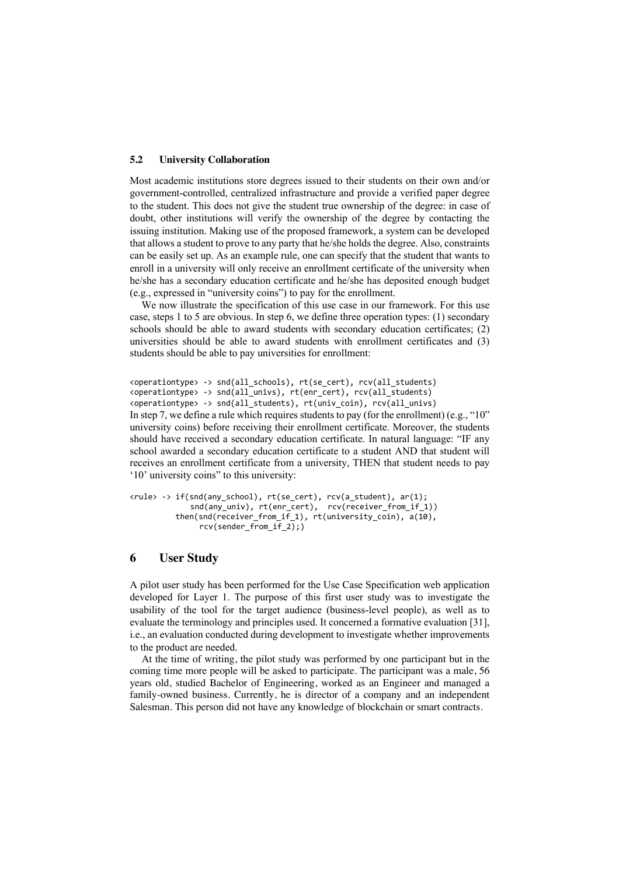#### **5.2 University Collaboration**

Most academic institutions store degrees issued to their students on their own and/or government-controlled, centralized infrastructure and provide a verified paper degree to the student. This does not give the student true ownership of the degree: in case of doubt, other institutions will verify the ownership of the degree by contacting the issuing institution. Making use of the proposed framework, a system can be developed that allows a student to prove to any party that he/she holds the degree. Also, constraints can be easily set up. As an example rule, one can specify that the student that wants to enroll in a university will only receive an enrollment certificate of the university when he/she has a secondary education certificate and he/she has deposited enough budget (e.g., expressed in "university coins") to pay for the enrollment.

We now illustrate the specification of this use case in our framework. For this use case, steps 1 to 5 are obvious. In step 6, we define three operation types: (1) secondary schools should be able to award students with secondary education certificates; (2) universities should be able to award students with enrollment certificates and (3) students should be able to pay universities for enrollment:

```
In step 7, we define a rule which requires students to pay (for the enrollment) (e.g., "10" 
university coins) before receiving their enrollment certificate. Moreover, the students 
should have received a secondary education certificate. In natural language: "IF any 
school awarded a secondary education certificate to a student AND that student will 
receives an enrollment certificate from a university, THEN that student needs to pay 
'10' university coins" to this university: 
<operationtype> -> snd(all_schools), rt(se_cert), rcv(all_students)
<operationtype> -> snd(all_univs), rt(enr_cert), rcv(all_students)
<operationtype> -> snd(all_students), rt(univ_coin), rcv(all_univs)
```

```
<rule> -> if(snd(any_school), rt(se_cert), rcv(a_student), ar(1);
              snd(any_univ), rt(enr_cert), rcv(receiver_from_if_1))
           then(snd(receiver_from_if_1), rt(university_coin), a(10), 
               rcv(sender from if 2);)
```
## **6 User Study**

A pilot user study has been performed for the Use Case Specification web application developed for Layer 1. The purpose of this first user study was to investigate the usability of the tool for the target audience (business-level people), as well as to evaluate the terminology and principles used. It concerned a formative evaluation [31], i.e., an evaluation conducted during development to investigate whether improvements to the product are needed.

At the time of writing, the pilot study was performed by one participant but in the coming time more people will be asked to participate. The participant was a male, 56 years old, studied Bachelor of Engineering, worked as an Engineer and managed a family-owned business. Currently, he is director of a company and an independent Salesman. This person did not have any knowledge of blockchain or smart contracts.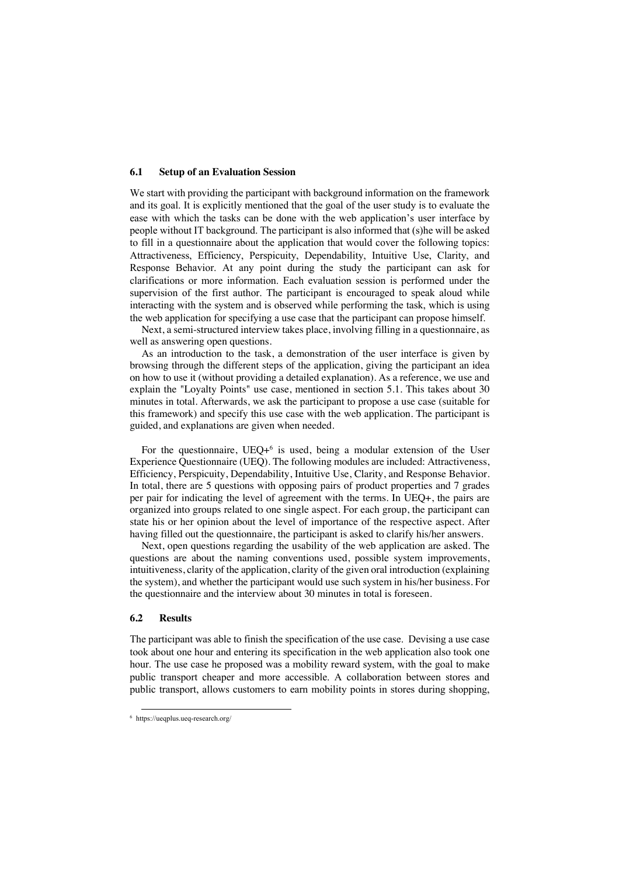### **6.1 Setup of an Evaluation Session**

We start with providing the participant with background information on the framework and its goal. It is explicitly mentioned that the goal of the user study is to evaluate the ease with which the tasks can be done with the web application's user interface by people without IT background. The participant is also informed that (s)he will be asked to fill in a questionnaire about the application that would cover the following topics: Attractiveness, Efficiency, Perspicuity, Dependability, Intuitive Use, Clarity, and Response Behavior. At any point during the study the participant can ask for clarifications or more information. Each evaluation session is performed under the supervision of the first author. The participant is encouraged to speak aloud while interacting with the system and is observed while performing the task, which is using the web application for specifying a use case that the participant can propose himself.

Next, a semi-structured interview takes place, involving filling in a questionnaire, as well as answering open questions.

As an introduction to the task, a demonstration of the user interface is given by browsing through the different steps of the application, giving the participant an idea on how to use it (without providing a detailed explanation). As a reference, we use and explain the "Loyalty Points" use case, mentioned in section 5.1. This takes about 30 minutes in total. Afterwards, we ask the participant to propose a use case (suitable for this framework) and specify this use case with the web application. The participant is guided, and explanations are given when needed.

For the questionnaire, UEQ+6 is used, being a modular extension of the User Experience Questionnaire (UEQ). The following modules are included: Attractiveness, Efficiency, Perspicuity, Dependability, Intuitive Use, Clarity, and Response Behavior. In total, there are 5 questions with opposing pairs of product properties and 7 grades per pair for indicating the level of agreement with the terms. In UEQ+, the pairs are organized into groups related to one single aspect. For each group, the participant can state his or her opinion about the level of importance of the respective aspect. After having filled out the questionnaire, the participant is asked to clarify his/her answers.

Next, open questions regarding the usability of the web application are asked. The questions are about the naming conventions used, possible system improvements, intuitiveness, clarity of the application, clarity of the given oral introduction (explaining the system), and whether the participant would use such system in his/her business. For the questionnaire and the interview about 30 minutes in total is foreseen.

### **6.2 Results**

The participant was able to finish the specification of the use case. Devising a use case took about one hour and entering its specification in the web application also took one hour. The use case he proposed was a mobility reward system, with the goal to make public transport cheaper and more accessible. A collaboration between stores and public transport, allows customers to earn mobility points in stores during shopping,

<sup>6</sup> https://ueqplus.ueq-research.org/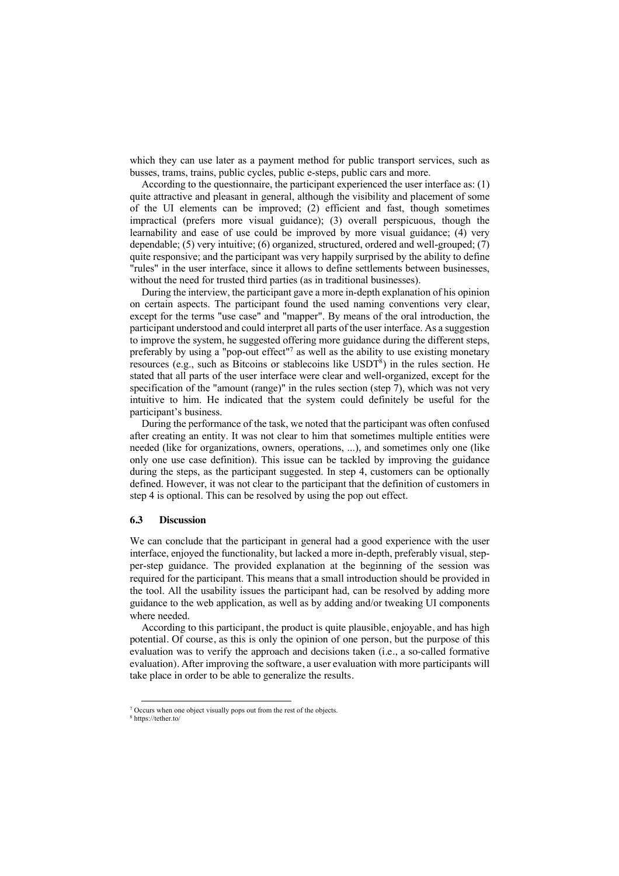which they can use later as a payment method for public transport services, such as busses, trams, trains, public cycles, public e-steps, public cars and more.

According to the questionnaire, the participant experienced the user interface as: (1) quite attractive and pleasant in general, although the visibility and placement of some of the UI elements can be improved; (2) efficient and fast, though sometimes impractical (prefers more visual guidance); (3) overall perspicuous, though the learnability and ease of use could be improved by more visual guidance; (4) very dependable; (5) very intuitive; (6) organized, structured, ordered and well-grouped; (7) quite responsive; and the participant was very happily surprised by the ability to define "rules" in the user interface, since it allows to define settlements between businesses, without the need for trusted third parties (as in traditional businesses).

During the interview, the participant gave a more in-depth explanation of his opinion on certain aspects. The participant found the used naming conventions very clear, except for the terms "use case" and "mapper". By means of the oral introduction, the participant understood and could interpret all parts of the user interface. As a suggestion to improve the system, he suggested offering more guidance during the different steps, preferably by using a "pop-out effect"<sup>7</sup> as well as the ability to use existing monetary resources (e.g., such as Bitcoins or stablecoins like USDT<sup>8</sup>) in the rules section. He stated that all parts of the user interface were clear and well-organized, except for the specification of the "amount (range)" in the rules section (step 7), which was not very intuitive to him. He indicated that the system could definitely be useful for the participant's business.

During the performance of the task, we noted that the participant was often confused after creating an entity. It was not clear to him that sometimes multiple entities were needed (like for organizations, owners, operations, ...), and sometimes only one (like only one use case definition). This issue can be tackled by improving the guidance during the steps, as the participant suggested. In step 4, customers can be optionally defined. However, it was not clear to the participant that the definition of customers in step 4 is optional. This can be resolved by using the pop out effect.

### **6.3 Discussion**

We can conclude that the participant in general had a good experience with the user interface, enjoyed the functionality, but lacked a more in-depth, preferably visual, stepper-step guidance. The provided explanation at the beginning of the session was required for the participant. This means that a small introduction should be provided in the tool. All the usability issues the participant had, can be resolved by adding more guidance to the web application, as well as by adding and/or tweaking UI components where needed.

According to this participant, the product is quite plausible, enjoyable, and has high potential. Of course, as this is only the opinion of one person, but the purpose of this evaluation was to verify the approach and decisions taken (i.e., a so-called formative evaluation). After improving the software, a user evaluation with more participants will take place in order to be able to generalize the results.

<sup>7</sup> Occurs when one object visually pops out from the rest of the objects.

<sup>8</sup> https://tether.to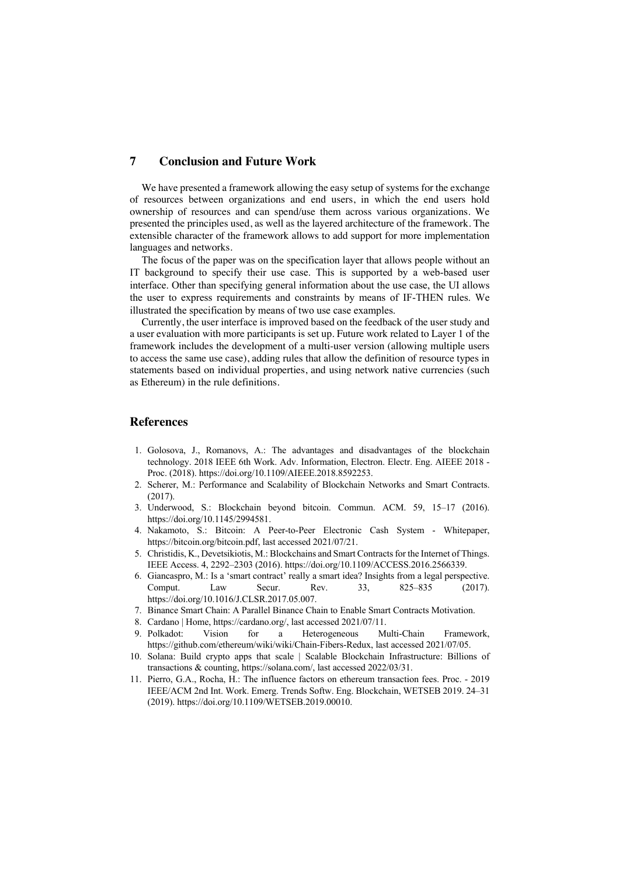## **7 Conclusion and Future Work**

We have presented a framework allowing the easy setup of systems for the exchange of resources between organizations and end users, in which the end users hold ownership of resources and can spend/use them across various organizations. We presented the principles used, as well as the layered architecture of the framework. The extensible character of the framework allows to add support for more implementation languages and networks.

The focus of the paper was on the specification layer that allows people without an IT background to specify their use case. This is supported by a web-based user interface. Other than specifying general information about the use case, the UI allows the user to express requirements and constraints by means of IF-THEN rules. We illustrated the specification by means of two use case examples.

Currently, the user interface is improved based on the feedback of the user study and a user evaluation with more participants is set up. Future work related to Layer 1 of the framework includes the development of a multi-user version (allowing multiple users to access the same use case), adding rules that allow the definition of resource types in statements based on individual properties, and using network native currencies (such as Ethereum) in the rule definitions.

## **References**

- 1. Golosova, J., Romanovs, A.: The advantages and disadvantages of the blockchain technology. 2018 IEEE 6th Work. Adv. Information, Electron. Electr. Eng. AIEEE 2018 - Proc. (2018). https://doi.org/10.1109/AIEEE.2018.8592253.
- 2. Scherer, M.: Performance and Scalability of Blockchain Networks and Smart Contracts. (2017).
- 3. Underwood, S.: Blockchain beyond bitcoin. Commun. ACM. 59, 15–17 (2016). https://doi.org/10.1145/2994581.
- 4. Nakamoto, S.: Bitcoin: A Peer-to-Peer Electronic Cash System Whitepaper, https://bitcoin.org/bitcoin.pdf, last accessed 2021/07/21.
- 5. Christidis, K., Devetsikiotis, M.: Blockchains and Smart Contracts for the Internet of Things. IEEE Access. 4, 2292–2303 (2016). https://doi.org/10.1109/ACCESS.2016.2566339.
- 6. Giancaspro, M.: Is a 'smart contract' really a smart idea? Insights from a legal perspective. Comput. Law Secur. Rev. 33, 825–835 (2017). https://doi.org/10.1016/J.CLSR.2017.05.007.
- 7. Binance Smart Chain: A Parallel Binance Chain to Enable Smart Contracts Motivation.
- 8. Cardano | Home, https://cardano.org/, last accessed 2021/07/11.
- 9. Polkadot: Vision for a Heterogeneous Multi-Chain Framework, https://github.com/ethereum/wiki/wiki/Chain-Fibers-Redux, last accessed 2021/07/05.
- 10. Solana: Build crypto apps that scale | Scalable Blockchain Infrastructure: Billions of transactions & counting, https://solana.com/, last accessed 2022/03/31.
- 11. Pierro, G.A., Rocha, H.: The influence factors on ethereum transaction fees. Proc. 2019 IEEE/ACM 2nd Int. Work. Emerg. Trends Softw. Eng. Blockchain, WETSEB 2019. 24–31 (2019). https://doi.org/10.1109/WETSEB.2019.00010.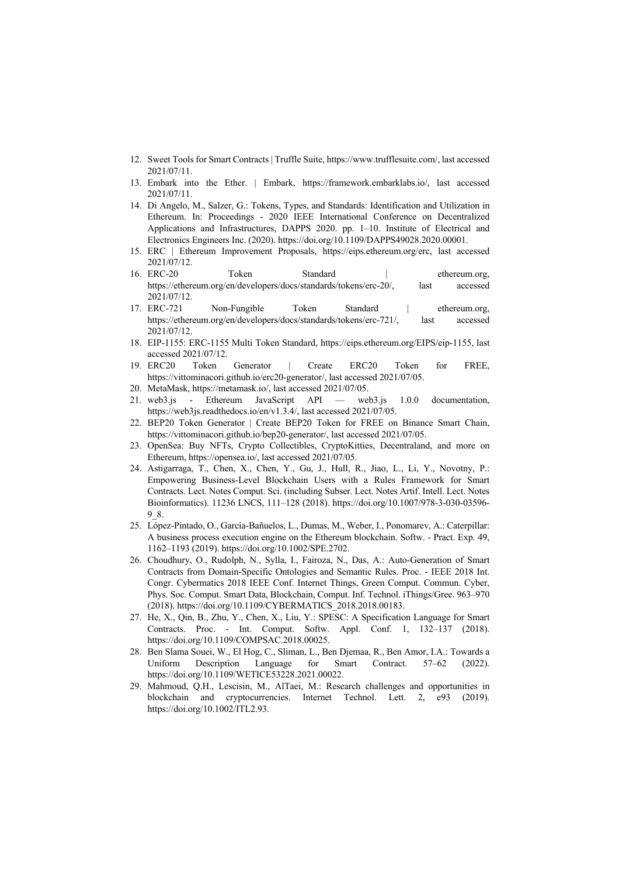- 12. Sweet Tools for Smart Contracts | Truffle Suite, https://www.trufflesuite.com/, last accessed 2021/07/11.
- 13. Embark into the Ether. | Embark, https://framework.embarklabs.io/, last accessed 2021/07/11.
- 14. Di Angelo, M., Salzer, G.: Tokens, Types, and Standards: Identification and Utilization in Ethereum. In: Proceedings - 2020 IEEE International Conference on Decentralized Applications and Infrastructures, DAPPS 2020. pp. 1–10. Institute of Electrical and Electronics Engineers Inc. (2020). https://doi.org/10.1109/DAPPS49028.2020.00001.
- 15. ERC | Ethereum Improvement Proposals, https://eips.ethereum.org/erc, last accessed 2021/07/12.
- 16. ERC-20 Token Standard | ethereum.org, https://ethereum.org/en/developers/docs/standards/tokens/erc-20/, last accessed 2021/07/12.
- 17. ERC-721 Non-Fungible Token Standard | ethereum.org, https://ethereum.org/en/developers/docs/standards/tokens/erc-721/, last accessed 2021/07/12.
- 18. EIP-1155: ERC-1155 Multi Token Standard, https://eips.ethereum.org/EIPS/eip-1155, last accessed 2021/07/12.
- 19. ERC20 Token Generator | Create ERC20 Token for FREE, https://vittominacori.github.io/erc20-generator/, last accessed 2021/07/05.
- 20. MetaMask, https://metamask.io/, last accessed 2021/07/05.
- 21. web3.js Ethereum JavaScript API web3.js 1.0.0 documentation, https://web3js.readthedocs.io/en/v1.3.4/, last accessed 2021/07/05.
- 22. BEP20 Token Generator | Create BEP20 Token for FREE on Binance Smart Chain, https://vittominacori.github.io/bep20-generator/, last accessed 2021/07/05.
- 23. OpenSea: Buy NFTs, Crypto Collectibles, CryptoKitties, Decentraland, and more on Ethereum, https://opensea.io/, last accessed 2021/07/05.
- 24. Astigarraga, T., Chen, X., Chen, Y., Gu, J., Hull, R., Jiao, L., Li, Y., Novotny, P.: Empowering Business-Level Blockchain Users with a Rules Framework for Smart Contracts. Lect. Notes Comput. Sci. (including Subser. Lect. Notes Artif. Intell. Lect. Notes Bioinformatics). 11236 LNCS, 111–128 (2018). https://doi.org/10.1007/978-3-030-03596- 9\_8.
- 25. López-Pintado, O., García-Bañuelos, L., Dumas, M., Weber, I., Ponomarev, A.: Caterpillar: A business process execution engine on the Ethereum blockchain. Softw. - Pract. Exp. 49, 1162–1193 (2019). https://doi.org/10.1002/SPE.2702.
- 26. Choudhury, O., Rudolph, N., Sylla, I., Fairoza, N., Das, A.: Auto-Generation of Smart Contracts from Domain-Specific Ontologies and Semantic Rules. Proc. - IEEE 2018 Int. Congr. Cybermatics 2018 IEEE Conf. Internet Things, Green Comput. Commun. Cyber, Phys. Soc. Comput. Smart Data, Blockchain, Comput. Inf. Technol. iThings/Gree. 963–970 (2018). https://doi.org/10.1109/CYBERMATICS\_2018.2018.00183.
- 27. He, X., Qin, B., Zhu, Y., Chen, X., Liu, Y.: SPESC: A Specification Language for Smart Contracts. Proc. - Int. Comput. Softw. Appl. Conf. 1, 132–137 (2018). https://doi.org/10.1109/COMPSAC.2018.00025.
- 28. Ben Slama Souei, W., El Hog, C., Sliman, L., Ben Djemaa, R., Ben Amor, I.A.: Towards a Uniform Description Language for Smart Contract. 57–62 (2022). https://doi.org/10.1109/WETICE53228.2021.00022.
- 29. Mahmoud, Q.H., Lescisin, M., AlTaei, M.: Research challenges and opportunities in blockchain and cryptocurrencies. Internet Technol. Lett. 2, e93 (2019). https://doi.org/10.1002/ITL2.93.